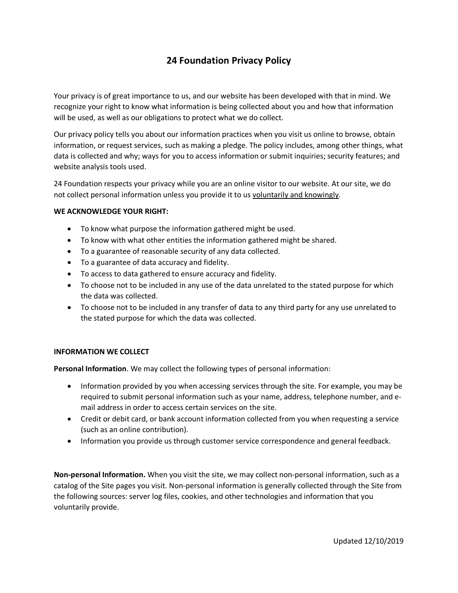# **24 Foundation Privacy Policy**

Your privacy is of great importance to us, and our website has been developed with that in mind. We recognize your right to know what information is being collected about you and how that information will be used, as well as our obligations to protect what we do collect.

Our privacy policy tells you about our information practices when you visit us online to browse, obtain information, or request services, such as making a pledge. The policy includes, among other things, what data is collected and why; ways for you to access information or submit inquiries; security features; and website analysis tools used.

24 Foundation respects your privacy while you are an online visitor to our website. At our site, we do not collect personal information unless you provide it to us voluntarily and knowingly.

## **WE ACKNOWLEDGE YOUR RIGHT:**

- To know what purpose the information gathered might be used.
- To know with what other entities the information gathered might be shared.
- To a guarantee of reasonable security of any data collected.
- To a guarantee of data accuracy and fidelity.
- To access to data gathered to ensure accuracy and fidelity.
- To choose not to be included in any use of the data unrelated to the stated purpose for which the data was collected.
- To choose not to be included in any transfer of data to any third party for any use unrelated to the stated purpose for which the data was collected.

# **INFORMATION WE COLLECT**

**Personal Information**. We may collect the following types of personal information:

- Information provided by you when accessing services through the site. For example, you may be required to submit personal information such as your name, address, telephone number, and email address in order to access certain services on the site.
- Credit or debit card, or bank account information collected from you when requesting a service (such as an online contribution).
- Information you provide us through customer service correspondence and general feedback.

**Non-personal Information.** When you visit the site, we may collect non-personal information, such as a catalog of the Site pages you visit. Non-personal information is generally collected through the Site from the following sources: server log files, cookies, and other technologies and information that you voluntarily provide.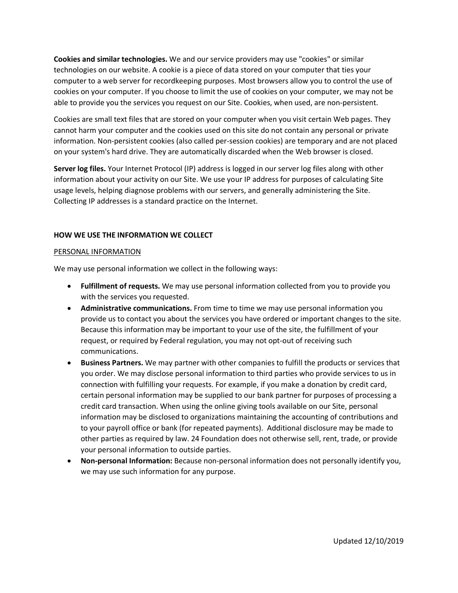**Cookies and similar technologies.** We and our service providers may use "cookies" or similar technologies on our website. A cookie is a piece of data stored on your computer that ties your computer to a web server for recordkeeping purposes. Most browsers allow you to control the use of cookies on your computer. If you choose to limit the use of cookies on your computer, we may not be able to provide you the services you request on our Site. Cookies, when used, are non-persistent.

Cookies are small text files that are stored on your computer when you visit certain Web pages. They cannot harm your computer and the cookies used on this site do not contain any personal or private information. Non-persistent cookies (also called per-session cookies) are temporary and are not placed on your system's hard drive. They are automatically discarded when the Web browser is closed.

**Server log files.** Your Internet Protocol (IP) address is logged in our server log files along with other information about your activity on our Site. We use your IP address for purposes of calculating Site usage levels, helping diagnose problems with our servers, and generally administering the Site. Collecting IP addresses is a standard practice on the Internet.

# **HOW WE USE THE INFORMATION WE COLLECT**

#### PERSONAL INFORMATION

We may use personal information we collect in the following ways:

- **Fulfillment of requests.** We may use personal information collected from you to provide you with the services you requested.
- **Administrative communications.** From time to time we may use personal information you provide us to contact you about the services you have ordered or important changes to the site. Because this information may be important to your use of the site, the fulfillment of your request, or required by Federal regulation, you may not opt-out of receiving such communications.
- **Business Partners.** We may partner with other companies to fulfill the products or services that you order. We may disclose personal information to third parties who provide services to us in connection with fulfilling your requests. For example, if you make a donation by credit card, certain personal information may be supplied to our bank partner for purposes of processing a credit card transaction. When using the online giving tools available on our Site, personal information may be disclosed to organizations maintaining the accounting of contributions and to your payroll office or bank (for repeated payments). Additional disclosure may be made to other parties as required by law. 24 Foundation does not otherwise sell, rent, trade, or provide your personal information to outside parties.
- **Non-personal Information:** Because non-personal information does not personally identify you, we may use such information for any purpose.